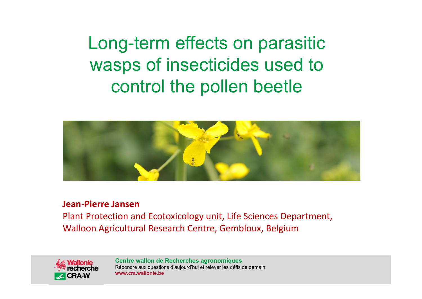Long-term effects on parasitic wasps of insecticides used to control the pollen beetle



#### **Jean‐Pierre Jansen**

Plant Protection and Ecotoxicology unit, Life Sciences Department, Walloon Agricultural Research Centre, Gembloux, Belgium

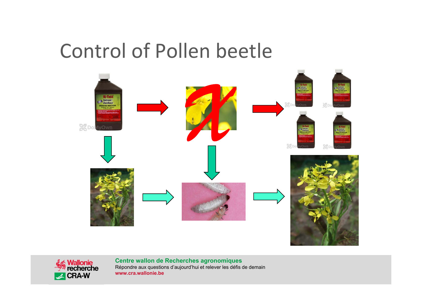#### Control of Pollen beetle



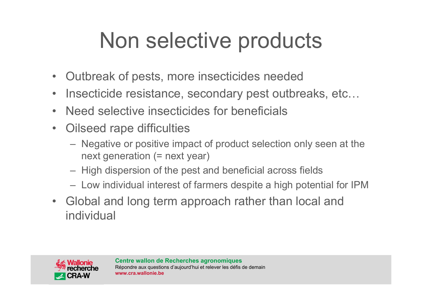## Non selective products

- $\bullet$ Outbreak of pests, more insecticides needed
- $\bullet$ Insecticide resistance, secondary pest outbreaks, etc…
- •Need selective insecticides for beneficials
- $\bullet$  Oilseed rape difficulties
	- Negative or positive impact of product selection only seen at the next generation (= next year)
	- High dispersion of the pest and beneficial across fields
	- Low individual interest of farmers despite a high potential for IPM
- Global and long term approach rather than local and individual

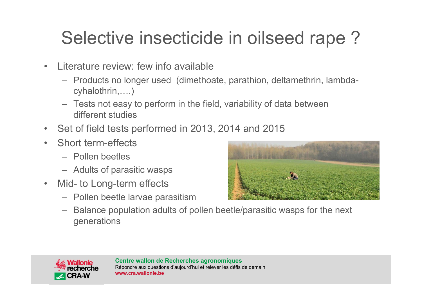#### Selective insecticide in oilseed rape ?

- • Literature review: few info available
	- Products no longer used (dimethoate, parathion, deltamethrin, lambdacyhalothrin,….)
	- Tests not easy to perform in the field, variability of data between different studies
- $\bullet$ Set of field tests performed in 2013, 2014 and 2015
- • Short term-effects
	- Pollen beetles
	- Adults of parasitic wasps
- $\bullet$  Mid- to Long-term effects
	- Pollen beetle larvae parasitism



– Balance population adults of pollen beetle/parasitic wasps for the next generations

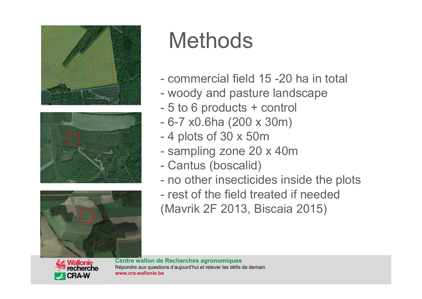





### **Methods**

- commercial field 15 -20 ha in total
- woody and pasture landscape
- -5 to 6 products + control
- -6-7 x0.6ha (200 x 30m)
- -4 plots of 30 x 50m
- sampling zone 20 x 40m
- -Cantus (boscalid)
- no other insecticides inside the plots
- rest of the field treated if needed (Mavrik 2F 2013, Biscaia 2015)

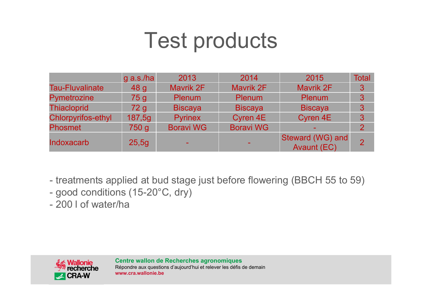#### Test products

|                           | $g$ a.s./ha     | 2013             | 2014             | 2015                                   | <b>Total</b>   |
|---------------------------|-----------------|------------------|------------------|----------------------------------------|----------------|
| <b>Tau-Fluvalinate</b>    | 48 <sub>g</sub> | Mavrik 2F        | Mavrik 2F        | Mavrik 2F                              | 3              |
| <b>Pymetrozine</b>        | 75 <sub>g</sub> | <b>Plenum</b>    | Plenum           | <b>Plenum</b>                          | 3              |
| <b>Thiacloprid</b>        | 72 <sub>g</sub> | <b>Biscaya</b>   | <b>Biscaya</b>   | <b>Biscaya</b>                         | 3              |
| <b>Chlorpyrifos-ethyl</b> | 187,5g          | <b>Pyrinex</b>   | <b>Cyren 4E</b>  | Cyren 4E                               | 3              |
| <b>Phosmet</b>            | 750 g           | <b>Boravi WG</b> | <b>Boravi WG</b> |                                        | $\overline{2}$ |
| <b>Indoxacarb</b>         | 25,5g           |                  |                  | Steward (WG) and<br><b>Avaunt (EC)</b> | $\mathcal{P}$  |

- treatments applied at bud stage just before flowering (BBCH 55 to 59)
- good conditions (15-20°C, dry)
- 200 l of water/ha

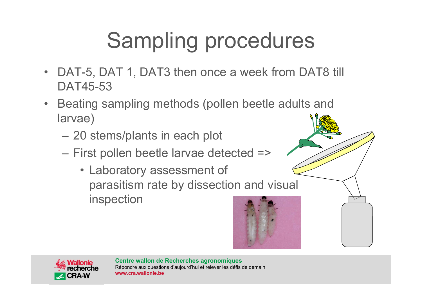# Sampling procedures

- •DAT-5, DAT 1, DAT3 then once a week from DAT8 till DAT45-53
- • Beating sampling methods (pollen beetle adults and larvae)
	- –20 stems/plants in each plot
	- – First pollen beetle larvae detected =>
		- Laboratory assessment of parasitism rate by dissection and visual inspection

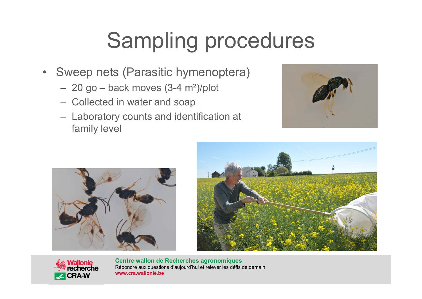# Sampling procedures

- Sweep nets (Parasitic hymenoptera)
	- 20 go back moves (3-4 m²)/plot
	- Collected in water and soap
	- Laboratory counts and identification at family level







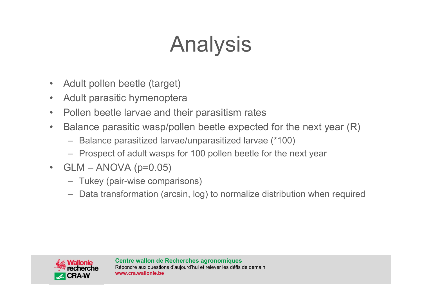# Analysis

- •Adult pollen beetle (target)
- •Adult parasitic hymenoptera
- •Pollen beetle larvae and their parasitism rates
- • Balance parasitic wasp/pollen beetle expected for the next year (R)
	- Balance parasitized larvae/unparasitized larvae (\*100)
	- Prospect of adult wasps for 100 pollen beetle for the next yea r
- GLM ANOVA (p=0.05)
	- Tukey (pair-wise comparisons)
	- Data transformation (arcsin, log) to normalize distribution when required

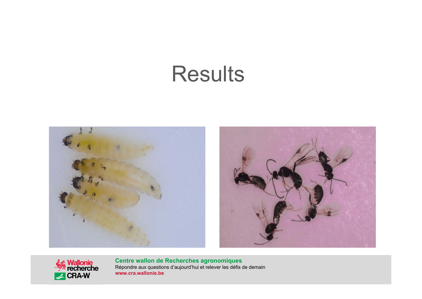#### Results





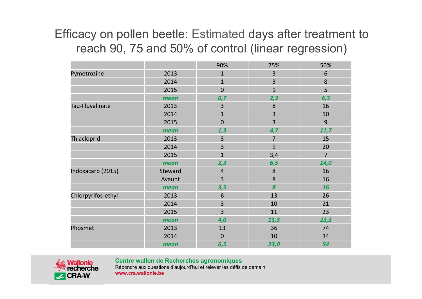#### Efficacy on pollen beetle: Estimated days after treatment to reach 90, 75 and 50% of control (linear regression)

|                    |         | 90%            | 75%              | 50%            |
|--------------------|---------|----------------|------------------|----------------|
| Pymetrozine        | 2013    | $\mathbf{1}$   | 3                | 6              |
|                    | 2014    | $\mathbf{1}$   | 3                | 8              |
|                    | 2015    | $\mathbf{0}$   | $\mathbf{1}$     | 5              |
|                    | mean    | 0,7            | 2,3              | 6,3            |
| Tau-Fluvalinate    | 2013    | 3              | 8                | 16             |
|                    | 2014    | $\mathbf{1}$   | $\overline{3}$   | 10             |
|                    | 2015    | $\mathbf 0$    | 3                | $\overline{9}$ |
|                    | mean    | 1,3            | 4,7              | 11,7           |
| Thiacloprid        | 2013    | 3              | $\overline{7}$   | 15             |
|                    | 2014    | 3              | 9                | 20             |
|                    | 2015    | $\mathbf{1}$   | 3,4              | $\overline{7}$ |
|                    | mean    | 2,3            | 6,5              | 14,0           |
| Indoxacarb (2015)  | Steward | $\overline{4}$ | $\bf 8$          | 16             |
|                    | Avaunt  | $\overline{3}$ | 8                | 16             |
|                    | mean    | 3,5            | $\boldsymbol{8}$ | 16             |
| Chlorpyrifos-ethyl | 2013    | 6              | 13               | 26             |
|                    | 2014    | 3              | 10               | 21             |
|                    | 2015    | $\overline{3}$ | 11               | 23             |
|                    | mean    | 4,0            | 11,3             | 23,3           |
| Phosmet            | 2013    | 13             | 36               | 74             |
|                    | 2014    | $\mathbf 0$    | 10               | 34             |
|                    | mean    | 6,5            | 23,0             | 54             |





Répondre aux questions d'aujourd'hui et relever les défis de demain **www.cra.wallonie.be**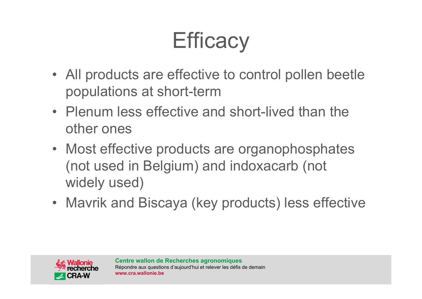#### **Efficacy**

- All products are effective to control pollen beetle populations at short-term
- Plenum less effective and short-lived than the other ones
- Most effective products are organophosphates (not used in Belgium) and indoxacarb (not widely used)
- Mavrik and Biscaya (key products) less effective

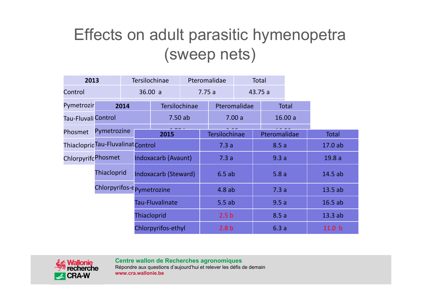#### Effects on adult parasitic hymenopetra (sweep nets)

| 2013                |                                    |                 | <b>Tersilochinae</b>      |      | Pteromalidae         |                  | <b>Total</b> |        |              |
|---------------------|------------------------------------|-----------------|---------------------------|------|----------------------|------------------|--------------|--------|--------------|
| Control             |                                    |                 | 36.00 a                   |      | 7.75a                |                  | 43.75 a      |        |              |
| Pymetrozir          |                                    | 2014            | Tersilochinae             |      | Pteromalidae         |                  | <b>Total</b> |        |              |
| Tau-Fluvali Control |                                    |                 | 7.50ab                    |      | 7.00a                |                  | 16.00a       |        |              |
| Phosmet             | Pymetrozine                        |                 | 2015                      |      | <b>Tersilochinae</b> | Pteromalidae     |              |        | <b>Total</b> |
|                     | Thiacloprid Tau-Fluvalinat Control |                 |                           | 7.3a | 8.5a                 |                  |              | 17.0ab |              |
| ChlorpyrifcPhosmet  |                                    |                 | Indoxacarb (Avaunt)       |      | 7.3a                 |                  | 9.3a         |        | 19.8a        |
|                     | Thiacloprid                        |                 | Indoxacarb (Steward)      |      | 6.5ab                | 5.8a             |              |        | 14.5ab       |
|                     |                                    |                 | Chlorpyrifos-epymetrozine |      | 4.8ab                |                  | 7.3a         |        | 13.5ab       |
|                     |                                    | Tau-Fluvalinate |                           |      | 5.5ab                |                  | 9.5a         |        | 16.5ab       |
|                     |                                    |                 | Thiacloprid               |      |                      | 2.5 <sub>b</sub> |              | 8.5a   | 13.3ab       |
|                     |                                    |                 | Chlorpyrifos-ethyl        |      | 2.8 <sub>b</sub>     |                  | 6.3a         |        | 11.0 b       |

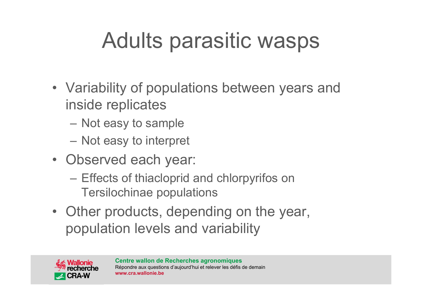# Adults parasitic wasps

- Variability of populations between years and inside replicates
	- Not easy to sample
	- –Not easy to interpret
- Observed each year:
	- Effects of thiacloprid and chlorpyrifos on Tersilochinae populations
- Other products, depending on the year, population levels and variability

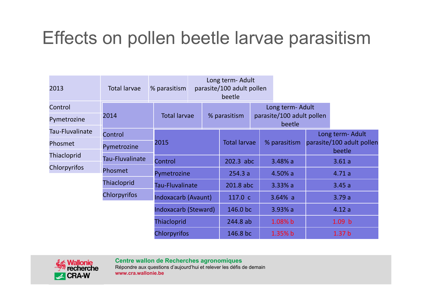#### Effects on pollen beetle larvae parasitism

| 2013               | <b>Total larvae</b> | % parasitism        | Long term- Adult<br>parasite/100 adult pollen<br>beetle |  |                     |                                     |                  |                                     |                   |
|--------------------|---------------------|---------------------|---------------------------------------------------------|--|---------------------|-------------------------------------|------------------|-------------------------------------|-------------------|
| Control            |                     |                     |                                                         |  |                     |                                     | Long term- Adult |                                     |                   |
| Pymetrozine        | 2014                |                     | <b>Total larvae</b>                                     |  | % parasitism        | parasite/100 adult pollen<br>beetle |                  |                                     |                   |
| Tau-Fluvalinate    | Control             |                     |                                                         |  |                     |                                     |                  |                                     | Long term- Adult  |
| Phosmet            | Pymetrozine         | 2015                |                                                         |  | <b>Total larvae</b> | % parasitism                        |                  | parasite/100 adult pollen<br>beetle |                   |
| <b>Thiacloprid</b> | Tau-Fluvalinate     | Control             |                                                         |  | 202.3 abc           |                                     | $3.48%$ a        |                                     | 3.61a             |
| Chlorpyrifos       | Phosmet             |                     |                                                         |  |                     |                                     |                  |                                     |                   |
|                    |                     |                     | Pymetrozine                                             |  | 254.3a              |                                     | $4.50\%$ a       |                                     | 4.71a             |
|                    | <b>Thiacloprid</b>  | Tau-Fluvalinate     |                                                         |  | 201.8 abc           |                                     | $3.33%$ a        |                                     | 3.45a             |
|                    | <b>Chlorpyrifos</b> |                     | Indoxacarb (Avaunt)                                     |  | 117.0 c             |                                     | 3.64% a          |                                     | 3.79a             |
|                    |                     |                     | <b>Indoxacarb (Steward)</b>                             |  | 146.0 bc            |                                     | $3.93%$ a        |                                     | 4.12a             |
|                    |                     | <b>Thiacloprid</b>  |                                                         |  | 244.8 ab            |                                     | 1.08% b          |                                     | 1.09 b            |
|                    |                     | <b>Chlorpyrifos</b> |                                                         |  | 146.8 bc            |                                     | 1.35% b          |                                     | 1.37 <sub>b</sub> |

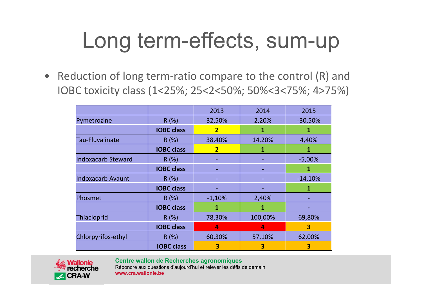### Long term-effects, sum-up

 $\bullet$ Reduction of long term-ratio compare to the control (R) and IOBC toxicity class (1<25%; 25<2<50%; 50%<3<75%; 4>75%)

|                           |                   | 2013                    | 2014    | 2015      |
|---------------------------|-------------------|-------------------------|---------|-----------|
| Pymetrozine               | R(%)              | 32,50%                  | 2,20%   | $-30,50%$ |
|                           | <b>IOBC class</b> | $\overline{\mathbf{2}}$ | 1       |           |
| <b>Tau-Fluvalinate</b>    | R(%)              | 38,40%                  | 14,20%  | 4,40%     |
|                           | <b>IOBC class</b> | 2                       | 1       |           |
| <b>Indoxacarb Steward</b> | R(%)              |                         |         | $-5,00%$  |
|                           | <b>IOBC class</b> |                         |         |           |
| <b>Indoxacarb Avaunt</b>  | R(%)              |                         |         | $-14,10%$ |
|                           | <b>IOBC class</b> |                         |         |           |
| Phosmet                   | R(%)              | $-1,10%$                | 2,40%   |           |
|                           | <b>IOBC class</b> |                         | 1       |           |
| Thiacloprid               | R(%)              | 78,30%                  | 100,00% | 69,80%    |
|                           | <b>IOBC class</b> | 4                       | 4       | 3         |
| Chlorpyrifos-ethyl        | R(%)              | 60,30%                  | 57,10%  | 62,00%    |
|                           | <b>IOBC class</b> | 3                       | 3       | 3         |



**Centre wallon de Recherches agronomiques**

Répondre aux questions d'aujourd'hui et relever les défis de demain **www.cra.wallonie.be**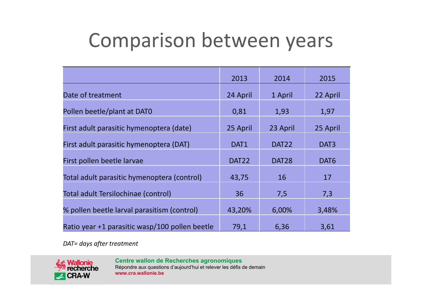#### Comparison between years

|                                                | 2013              | 2014              | 2015             |
|------------------------------------------------|-------------------|-------------------|------------------|
| Date of treatment                              | 24 April          | 1 April           | 22 April         |
| Pollen beetle/plant at DAT0                    | 0,81              | 1,93              | 1,97             |
| First adult parasitic hymenoptera (date)       | 25 April          | 23 April          | 25 April         |
| First adult parasitic hymenoptera (DAT)        | DAT1              | DAT <sub>22</sub> | DAT <sub>3</sub> |
| First pollen beetle larvae                     | DAT <sub>22</sub> | DAT <sub>28</sub> | DAT6             |
| Total adult parasitic hymenoptera (control)    | 43,75             | 16                | 17               |
| Total adult Tersilochinae (control)            | 36                | 7,5               | 7,3              |
| % pollen beetle larval parasitism (control)    | 43,20%            | 6,00%             | 3,48%            |
| Ratio year +1 parasitic wasp/100 pollen beetle | 79,1              | 6,36              | 3,61             |

*DAT= days after treatment*

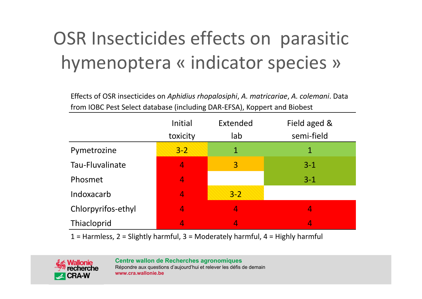#### OSR Insecticides effects on parasitic hymenoptera « indicator species »

Effects of OSR insecticides on *Aphidius rhopalosiphi*, *A. matricariae*, *A. colemani*. Data from IOBC Pest Select database (including DAR‐EFSA), Koppert and Biobest

|                    | Initial<br>toxicity | Extended<br>lab | Field aged &<br>semi-field |
|--------------------|---------------------|-----------------|----------------------------|
| Pymetrozine        | $3 - 2$             | 1               | 1                          |
| Tau-Fluvalinate    | 4                   | 3               | $3 - 1$                    |
| Phosmet            | 4                   |                 | $3 - 1$                    |
| Indoxacarb         | 4                   | $3 - 2$         |                            |
| Chlorpyrifos-ethyl | 4                   | 4               | 4                          |
| Thiacloprid        |                     |                 | 4                          |

 $1 =$  Harmless,  $2 =$  Slightly harmful,  $3 =$  Moderately harmful,  $4 =$  Highly harmful

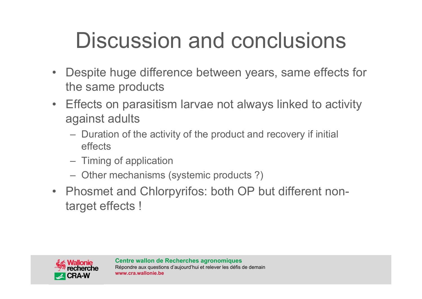# Discussion and conclusions

- $\bullet$  Despite huge difference between years, same effects for the same products
- Effects on parasitism larvae not always linked to activity against adults
	- Duration of the activity of the product and recovery if initial effects
	- Timing of application
	- Other mechanisms (systemic products ?)
- Phosmet and Chlorpyrifos: both OP but different nontarget effects !

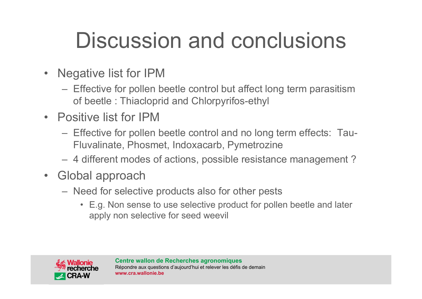# Discussion and conclusions

- • Negative list for IPM
	- Effective for pollen beetle control but affect long term parasitism of beetle : Thiacloprid and Chlorpyrifos-ethyl
- Positive list for IPM
	- Effective for pollen beetle control and no long term effects: Tau-Fluvalinate, Phosmet, Indoxacarb, Pymetrozine
	- 4 different modes of actions, possible resistance management ?
- Global approach
	- Need for selective products also for other pests
		- E.g. Non sense to use selective product for pollen beetle and later apply non selective for seed weevil